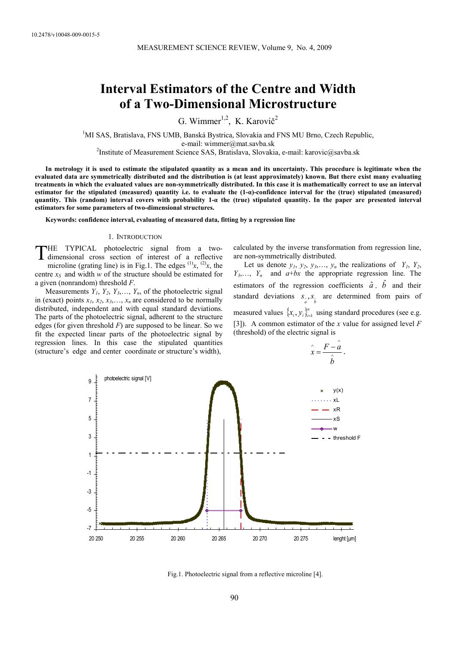# **Interval Estimators of the Centre and Width of a Two-Dimensional Microstructure**

G. Wimmer<sup>1,2</sup>, K. Karovič<sup>2</sup>

<sup>1</sup>MI SAS, Bratislava, FNS UMB, Banská Bystrica, Slovakia and FNS MU Brno, Czech Republic,

e-mail: wimmer@mat.savba.sk<br><sup>2</sup>Institute of Measurement Science SAS, Bratislava, Slovakia, e-mail: karovic@savba.sk

**In metrology it is used to estimate the stipulated quantity as a mean and its uncertainty. This procedure is legitimate when the evaluated data are symmetrically distributed and the distribution is (at least approximately) known. But there exist many evaluating treatments in which the evaluated values are non-symmetrically distributed. In this case it is mathematically correct to use an interval estimator for the stipulated (measured) quantity i.e. to evaluate the (1-α)-confidence interval for the (true) stipulated (measured) quantity. This (random) interval covers with probability 1-α the (true) stipulated quantity. In the paper are presented interval estimators for some parameters of two-dimensional structures.** 

**Keywords: confidence interval, evaluating of measured data, fitting by a regression line** 

#### 1. INTRODUCTION

HE TYPICAL photoelectric signal from a two-THE TYPICAL photoelectric signal from a two-<br>dimensional cross section of interest of a reflective microline (grating line) is in Fig.1. The edges  $(1)$ <sub>*x*</sub>,  $(2)$ <sub>*x*</sub>, the centre  $x_S$  and width  $w$  of the structure should be estimated for a given (nonrandom) threshold *F*.

Measurements  $Y_1, Y_2, Y_3, \ldots, Y_n$ , of the photoelectric signal in (exact) points  $x_1, x_2, x_3, \ldots, x_n$  are considered to be normally distributed, independent and with equal standard deviations. The parts of the photoelectric signal, adherent to the structure edges (for given threshold  $F$ ) are supposed to be linear. So we fit the expected linear parts of the photoelectric signal by regression lines. In this case the stipulated quantities (structure's edge and center coordinate or structure's width),

calculated by the inverse transformation from regression line, are non-symmetrically distributed.

Let us denote  $y_1$ ,  $y_2$ ,  $y_3$ , ...,  $y_n$  the realizations of  $Y_1$ ,  $Y_2$ ,  $Y_3, \ldots, Y_n$  and  $a+bx$  the appropriate regression line. The estimators of the regression coefficients  $\hat{a}$ ,  $\hat{b}$  and their standard deviations  $s_{\hat{a}}, s_{\hat{b}}$  are determined from pairs of measured values  $\{x_i, y_i\}_{i=1}^n$  using standard procedures (see e.g. [3]). A common estimator of the *x* value for assigned level *F*  (threshold) of the electric signal is

$$
\hat{x} = \frac{F - \hat{a}}{\hat{b}}.
$$



Fig.1. Photoelectric signal from a reflective microline [4].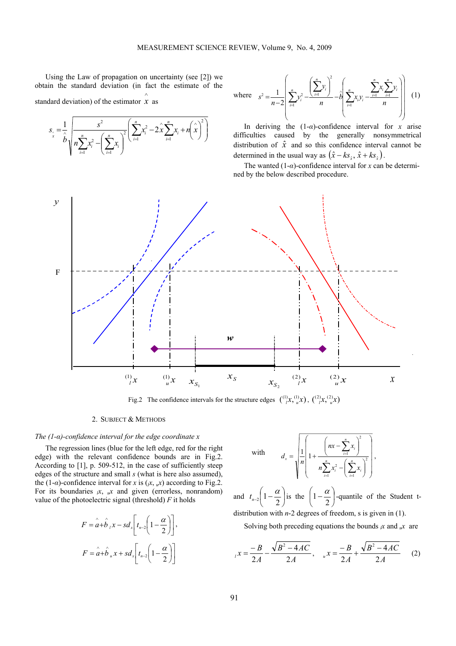Using the Law of propagation on uncertainty (see [2]) we obtain the standard deviation (in fact the estimate of the standard deviation) of the estimator *x* as ∧



where 
$$
s^2 = \frac{1}{n-2} \left( \sum_{i=1}^n y_i^2 - \frac{\left(\sum_{i=1}^n y_i\right)^2}{n} - \hat{b} \left( \sum_{i=1}^n x_i y_i - \frac{\sum_{i=1}^n x_i \sum_{i=1}^n y_i}{n} \right) \right)
$$
 (1)

In deriving the  $(1-\alpha)$ -confidence interval for *x* arise difficulties caused by the generally nonsymmetrical distribution of  $\hat{x}$  and so this confidence interval cannot be determined in the usual way as  $(\hat{x} - k s_{\hat{x}}, \hat{x} + k s_{\hat{x}})$ .

The wanted  $(1-\alpha)$ -confidence interval for *x* can be determined by the below described procedure.



Fig.2 The confidence intervals for the structure edges  $\binom{1}{l}x, \binom{l}{u}x, \binom{2}{u}x, \binom{2}{u}x$ 

## 2. SUBJECT & METHODS

### *The (1-α)-confidence interval for the edge coordinate x*

The regression lines (blue for the left edge, red for the right edge) with the relevant confidence bounds are in Fig.2. According to [1], p. 509-512, in the case of sufficiently steep edges of the structure and small *s* (what is here also assumed), the (1- $\alpha$ )-confidence interval for *x* is ( $\alpha$ ,  $\alpha$ ) according to Fig.2. For its boundaries  $\alpha$ ,  $\alpha$  and given (errorless, nonrandom) value of the photoelectric signal (threshold)  $F$  it holds

$$
F = \hat{a} + \hat{b}_1 x - s d_x \left[ t_{n-2} \left( 1 - \frac{\alpha}{2} \right) \right],
$$
  

$$
F = \hat{a} + \hat{b}_u x + s d_x \left[ t_{n-2} \left( 1 - \frac{\alpha}{2} \right) \right]
$$

with 
$$
d_x = \sqrt{\frac{1}{n} \left( 1 + \frac{\left( nx - \sum_{i=1}^{n} x_i \right)^2}{n \sum_{i=1}^{n} x_i^2 - \left( \sum_{i=1}^{n} x_i \right)^2} \right)},
$$

and  $t_{n-2}$   $1-\frac{\alpha}{2}$ ⎠  $\left(1-\frac{\alpha}{2}\right)$ ⎝  $t_{n-2}\left(1-\frac{\alpha}{2}\right)$  is the  $\left(1-\frac{\alpha}{2}\right)$  $\left(1-\frac{\alpha}{2}\right)$  $\left(1-\frac{\alpha}{2}\right)$ -quantile of the Student tdistribution with *n*-2 degrees of freedom, s is given in (1).

Solving both preceding equations the bounds  $\alpha$  and  $\alpha$  are

$$
{}_{I}x = \frac{-B}{2A} - \frac{\sqrt{B^2 - 4AC}}{2A}, \quad {}_{u}x = \frac{-B}{2A} + \frac{\sqrt{B^2 - 4AC}}{2A} \tag{2}
$$